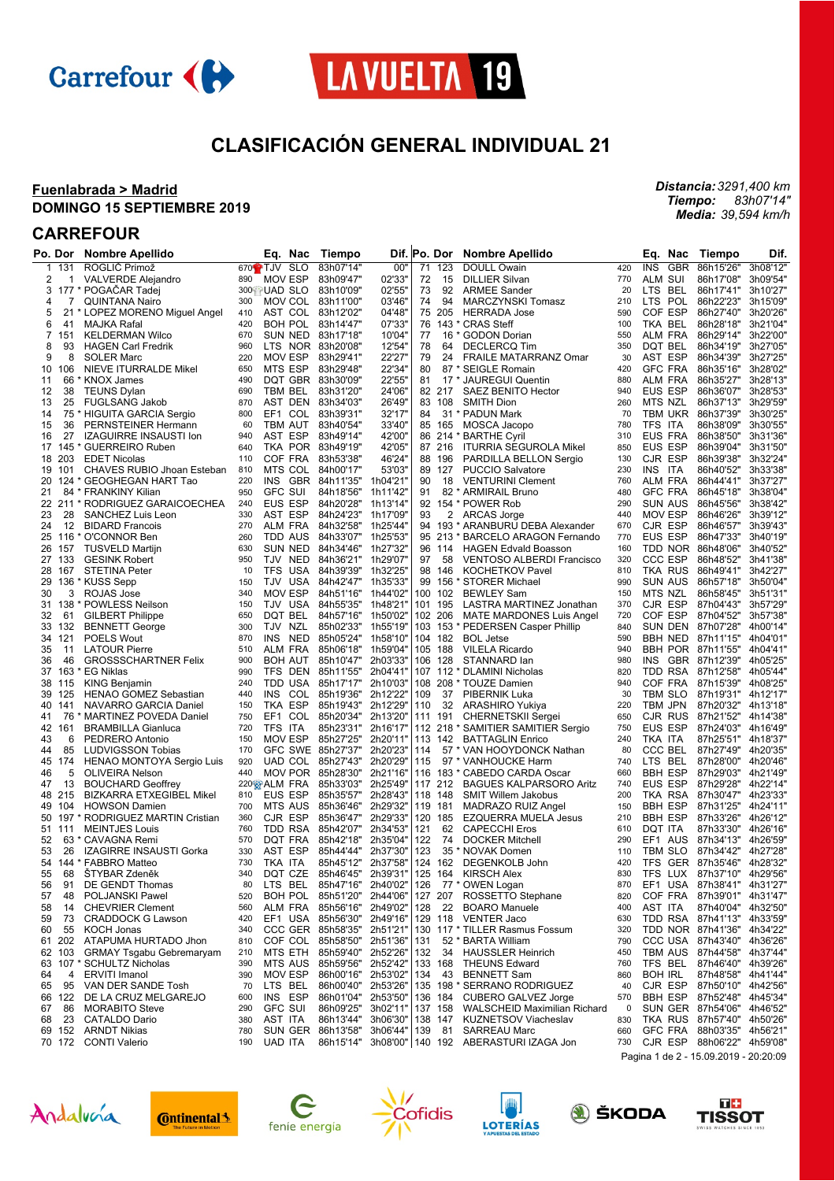



## **CLASIFICACIÓN GENERAL INDIVIDUAL 21**

 $\mathbf{r}$ 

#### **Fuenlabrada > Madrid DOMINGO 15 SEPTIEMBRE 2019**

### **CARREFOUR**

|    | Po. Dor    | <b>Nombre Apellido</b>           | Eq.<br>Nac                      | Tiempo                     |                    |     | Dif.  Po. Dor | <b>Nombre Apellido</b>                            |            | Eq.<br>Nac                            | Tiempo                          | Dif.     |
|----|------------|----------------------------------|---------------------------------|----------------------------|--------------------|-----|---------------|---------------------------------------------------|------------|---------------------------------------|---------------------------------|----------|
| 1  | 131        | ROGLIČ Primož                    | 670 <sup>2</sup> TJV SLO        | 83h07'14"                  | 00"                | 71  | 123           | <b>DOULL Owain</b>                                | 420        | <b>INS</b><br><b>GBR</b>              | 86h15'26"                       | 3h08'12" |
| 2  | 1          | <b>VALVERDE Alejandro</b>        | 890<br><b>MOV ESP</b>           | 83h09'47"                  | 02'33'             | 72  | 15            | <b>DILLIER Silvan</b>                             | 770        | ALM SUI                               | 86h17'08"                       | 3h09'54' |
| 3  |            | 177 * POGAČAR Tadej              | 300 UAD SLO                     | 83h10'09"                  | 02'55'             | 73  | 92            | <b>ARMEE Sander</b>                               | 20         | BEL<br>LTS.                           | 86h17'41"                       | 3h10'27' |
| 4  | 7          | <b>QUINTANA Nairo</b>            | 300<br>MOV COL 83h11'00"        |                            | 03'46'             | 74  | 94            | <b>MARCZYNSKI Tomasz</b>                          | 210        | POL<br>LTS                            | 86h22'23"                       | 3h15'09' |
| 5  |            | 21 * LOPEZ MORENO Miguel Angel   | AST COL 83h12'02"<br>410        |                            | 04'48'             |     | 75 205        | <b>HERRADA Jose</b>                               | 590        | COF ESP                               | 86h27'40"                       | 3h20'26' |
| 6  | 41         | MAJKA Rafal                      | 420<br>BOH POL                  | 83h14'47"                  | 07'33'             | 76  |               | 143 * CRAS Steff                                  | 100        | TKA BEL                               | 86h28'18"                       | 3h21'04  |
| 7  | 151        | <b>KELDERMAN Wilco</b>           | 670<br>SUN NED 83h17'18"        |                            | 10'04"             | 77  |               | 16 * GODON Dorian                                 | 550        | ALM FRA                               | 86h29'14"                       | 3h22'00  |
| 8  | 93         | <b>HAGEN Carl Fredrik</b>        | 960<br>LTS NOR 83h20'08"        |                            | 12'54'             | 78  | 64            | <b>DECLERCQ Tim</b>                               | 350        | DQT BEL                               | 86h34'19"                       | 3h27'05  |
| 9  | 8          | <b>SOLER Marc</b>                | MOV ESP<br>220                  | 83h29'41"                  | 22'27'             | 79  | 24            | <b>FRAILE MATARRANZ Omar</b>                      | 30         | AST ESP                               | 86h34'39"                       | 3h27'25  |
| 10 | 106        | NIEVE ITURRALDE Mikel            | 650<br>MTS ESP                  | 83h29'48"                  | 22'34"             | 80  |               | 87 * SEIGLE Romain                                | 420        | <b>GFC FRA</b>                        | 86h35'16"                       | 3h28'02' |
| 11 | 66         | * KNOX James                     | 490<br>DQT GBR 83h30'09"        |                            | 22'55'             | 81  |               | 17 * JAUREGUI Quentin                             | 880        | <b>ALM FRA</b>                        | 86h35'27"                       | 3h28'13  |
| 12 | 38         | <b>TEUNS Dylan</b>               | TBM BEL<br>690                  | 83h31'20"                  | 24'06'             |     | 82 217        | <b>SAEZ BENITO Hector</b>                         | 940        | <b>EUS ESP</b>                        | 86h36'07"                       | 3h28'53  |
| 13 | 25         | <b>FUGLSANG Jakob</b>            | AST DEN 83h34'03"<br>870        |                            | 26'49"             |     | 83 108        | <b>SMITH Dion</b>                                 | 260        | MTS NZL                               | 86h37'13"                       | 3h29'59  |
| 14 |            | 75 * HIGUITA GARCIA Sergio       | 800<br>EF1<br>COL               | 83h39'31"                  | 32'17'             | 84  |               | 31 * PADUN Mark                                   | 70         | <b>TBM UKR</b>                        | 86h37'39"                       | 3h30'25  |
| 15 | 36         | PERNSTEINER Hermann              | TBM AUT<br>60                   | 83h40'54"                  | 33'40"             | 85  | 165           | MOSCA Jacopo                                      | 780        | TFS ITA                               | 86h38'09"                       | 3h30'55  |
| 16 | 27         | <b>IZAGUIRRE INSAUSTI Ion</b>    | AST ESP<br>940                  | 83h49'14"                  | 42'00"             |     |               | 86 214 * BARTHE Cyril                             | 310        | EUS FRA                               | 86h38'50"                       | 3h31'36  |
| 17 | 145        | * GUERREIRO Ruben                | TKA POR 83h49'19"<br>640        |                            | 42'05'             |     | 87 216        | <b>ITURRIA SEGUROLA Mikel</b>                     | 850        | <b>EUS ESP</b>                        | 86h39'04"                       | 3h31'50  |
| 18 | 203        | <b>EDET Nicolas</b>              | COF FRA<br>110                  | 83h53'38"                  | 46'24"             | 88  | 196           | PARDILLA BELLON Sergio                            | 130        | CJR ESP                               | 86h39'38"                       | 3h32'24' |
| 19 | 101        | CHAVES RUBIO Jhoan Esteban       | 810<br>MTS COL 84h00'17"        |                            | 53'03"             |     | 89 127        | <b>PUCCIO Salvatore</b>                           | 230        | <b>INS</b><br>ITA                     | 86h40'52"                       | 3h33'38' |
| 20 |            | 124 * GEOGHEGAN HART Tao         | 220<br><b>INS</b>               | GBR 84h11'35"              | 1h04'21            | 90  | 18            | <b>VENTURINI Clement</b>                          | 760        | ALM FRA                               | 86h44'41"                       | 3h37'27  |
| 21 |            | 84 * FRANKINY Kilian             | <b>GFC SUI</b><br>950           | 84h18'56"                  | 1h11'42"           | 91  |               | 82 * ARMIRAIL Bruno                               | 480        | <b>GFC FRA</b>                        | 86h45'18"                       | 3h38'04" |
|    |            | 22 211 * RODRIGUEZ GARAICOECHEA  | 240<br>EUS ESP                  | 84h20'28"                  | 1h13'14"           |     |               | 92 154 * POWER Rob                                | 290        | SUN AUS                               | 86h45'56"                       | 3h38'42' |
| 23 | 28         | SANCHEZ Luis Leon                | 330<br>AST ESP                  | 84h24'23"                  | 1h17'09'           | 93  | 2             | ARCAS Jorge                                       | 440        | <b>MOV ESP</b>                        | 86h46'26"                       | 3h39'12  |
| 24 | 12         | <b>BIDARD Francois</b>           | 270<br>ALM FRA                  | 84h32'58"                  | 1h25'44"           |     | 94 193        | * ARANBURU DEBA Alexander                         | 670        | CJR ESP                               | 86h46'57"                       | 3h39'43' |
| 25 | 116        | O'CONNOR Ben                     | 260<br>TDD AUS                  | 84h33'07"                  | 1h25'53'           |     |               | 95 213 * BARCELO ARAGON Fernando                  | 770        | EUS ESP                               | 86h47'33"                       | 3h40'19' |
| 26 | 157        | <b>TUSVELD Martijn</b>           | 630<br>SUN NED                  | 84h34'46"                  | 1h27'32'           |     | 96 114        | <b>HAGEN Edvald Boasson</b>                       | 160        | TDD NOR                               | 86h48'06"                       | 3h40'52  |
|    | 27 133     | <b>GESINK Robert</b>             | TJV NED<br>950                  | 84h36'21"                  | 1h29'07"           | 97  | 58            | <b>VENTOSO ALBERDI Francisco</b>                  | 320        | CCC ESP                               | 86h48'52"                       | 3h41'38  |
| 28 | 167        | <b>STETINA Peter</b>             | TFS USA<br>10                   | 84h39'39" 1h32'25'         |                    |     | 98 146        | <b>KOCHETKOV Pavel</b>                            | 810        | TKA RUS                               | 86h49'41"                       | 3h42'27' |
| 29 |            | 136 * KUSS Sepp                  | TJV USA<br>150                  | 84h42'47"                  | 1h35'33'           |     |               | 99 156 * STORER Michael                           | 990        | <b>SUN AUS</b>                        | 86h57'18"                       | 3h50'04  |
| 30 | 3          | ROJAS Jose                       | <b>MOV ESP</b><br>340           | 84h51'16"                  | 1h44'02"           | 100 | 102           | <b>BEWLEY Sam</b>                                 | 150        | MTS NZL                               | 86h58'45"                       | 3h51'31  |
| 31 | 138        | * POWLESS Neilson                | 150<br>TJV USA                  | 84h55'35"                  | 1h48'21'           |     | 101 195       | LASTRA MARTINEZ Jonathan                          | 370        | CJR ESP                               | 87h04'43"                       | 3h57'29' |
| 32 | 61         | <b>GILBERT Philippe</b>          | DOT BEL<br>650                  | 84h57'16"                  | 1h50'02'           |     | 102 206       | <b>MATE MARDONES Luis Angel</b>                   | 720        | COF ESP                               | 87h04'52"                       | 3h57'38  |
| 33 | 132        | <b>BENNETT George</b>            | TJV<br>NZL<br>300               | 85h02'33"                  | 1h55'19'           |     |               | 103 153 * PEDERSEN Casper Phillip                 | 840        | SUN DEN                               | 87h07'28"                       | 4h00'14  |
|    | 34 121     | <b>POELS Wout</b>                | 870<br>INS NED                  | 85h05'24" 1h58'10"         |                    |     | 104 182       | <b>BOL Jetse</b>                                  | 590        | BBH NED                               | 87h11'15"                       | 4h04'01  |
| 35 | 11         | <b>LATOUR Pierre</b>             | ALM FRA<br>510                  | 85h06'18"                  | 1h59'04"           |     | 105 188       | <b>VILELA Ricardo</b>                             | 940        | <b>BBH POR</b>                        | 87h11'55"                       | 4h04'41  |
| 36 | 46         | <b>GROSSSCHARTNER Felix</b>      | 900<br><b>BOH AUT</b>           | 85h10'47"                  | 2h03'33"           | 106 | 128           | STANNARD lan                                      | 980        | <b>INS</b><br><b>GBR</b>              | 87h12'39"                       | 4h05'25  |
| 37 | 163        | <b>EG Niklas</b>                 | 990<br>TFS DEN                  | 85h11'55" 2h04'41"         |                    |     |               | 107 112 * DLAMINI Nicholas                        | 820        | TDD RSA                               | 87h12'58"                       | 4h05'44' |
|    |            |                                  | 240<br>TDD USA                  | 85h17'17" 2h10'03'         |                    |     |               | 108 208 * TOUZE Damien                            | 940        | COF FRA                               | 87h15'39"                       | 4h08'25  |
| 38 | 115<br>125 | <b>KING Benjamin</b>             | <b>INS</b><br>440<br>COL        | 85h19'36" 2h12'22"         |                    | 109 | 37            |                                                   | 30         | TBM SLO                               | 87h19'31" 4h12'17'              |          |
| 39 |            | HENAO GOMEZ Sebastian            |                                 |                            |                    |     |               | PIBERNIK Luka                                     |            |                                       |                                 |          |
| 40 | 141        | NAVARRO GARCIA Daniel            | TKA ESP<br>150                  | 85h19'43" 2h12'29"         |                    | 110 | 32            | ARASHIRO Yukiya                                   | 220<br>650 | TBM JPN                               | 87h20'32"                       | 4h13'18  |
| 41 | 76         | * MARTINEZ POVEDA Daniel         | EF1<br>COL<br>750               | 85h20'34"                  | 2h13'20'           |     | 111 191       | <b>CHERNETSKII Sergei</b>                         |            | CJR RUS                               | 87h21'52"                       | 4h14'38  |
| 42 | 161        | <b>BRAMBILLA Gianluca</b>        | TFS<br>720<br>ITA               | 85h23'31" 2h16'17"         |                    |     |               | 112 218 * SAMITIER SAMITIER Sergio                | 750        | EUS ESP                               | 87h24'03" 4h16'49'              |          |
| 43 | 6          | PEDRERO Antonio                  | <b>MOV ESP</b><br>150           | 85h27'25"                  | 2h20'11"           |     | 113 142       | <b>BATTAGLIN Enrico</b>                           | 240        | TKA ITA                               | 87h25'51" 4h18'37'              |          |
| 44 | 85         | <b>LUDVIGSSON Tobias</b>         | GFC SWE 85h27'37"<br>170<br>920 | 85h27'43"                  | 2h20'23'           | 114 |               | 57 * VAN HOOYDONCK Nathan                         | 80<br>740  | CCC BEL<br>LTS BEL                    | 87h27'49"                       | 4h20'35  |
| 45 | 174        | <b>HENAO MONTOYA Sergio Luis</b> | UAD COL                         |                            | 2h20'29"           | 115 |               | 97 * VANHOUCKE Harm                               |            |                                       | 87h28'00" 4h20'46'              |          |
| 46 | 5          | <b>OLIVEIRA Nelson</b>           | MOV POR 85h28'30"<br>440        |                            | 2h21'16"           |     |               | 116 183 * CABEDO CARDA Oscar                      | 660        | <b>BBH ESP</b>                        | 87h29'03" 4h21'49               |          |
| 47 | 13         | <b>BOUCHARD Geoffrey</b>         | 220 <sup>8</sup> ALM FRA        | 85h33'03"                  | 2h25'49'           |     | 117 212       | <b>BAGUES KALPARSORO Aritz</b>                    | 740<br>200 | <b>EUS ESP</b>                        | 87h29'28"<br>87h30'47" 4h23'33' | 4h22'14  |
| 48 | 215        | <b>BIZKARRA ETXEGIBEL Mikel</b>  | 810<br>EUS ESP                  | 85h35'57"                  | 2h28'43"           |     | 118 148       | <b>SMIT Willem Jakobus</b>                        |            | TKA RSA                               |                                 |          |
| 49 | 104        | <b>HOWSON Damien</b>             | 700<br><b>MTS AUS</b>           | 85h36'46"                  | 2h29'32"           |     | 119 181       | MADRAZO RUIZ Angel                                | 150        | <b>BBH ESP</b>                        | 87h31'25"                       | 4h24'11  |
| 50 |            | 197 * RODRIGUEZ MARTIN Cristian  | 360<br>CJR ESP                  | 85h36'47"                  | 2h29'33'           |     | 120 185       | <b>EZQUERRA MUELA Jesus</b>                       | 210        | <b>BBH ESP</b>                        | 87h33'26"                       | 4h26'12  |
|    | 51 111     | <b>MEINTJES Louis</b>            | TDD RSA<br>760                  | 85h42'07"                  | 2h34'53"           | 121 | 62            | <b>CAPECCHI Eros</b>                              | 610        | DQT ITA                               | 87h33'30" 4h26'16               |          |
| 52 |            | 63 * CAVAGNA Remi                | 570<br>DQT FRA                  | 85h42'18"                  | 2h35'04"           | 122 | 74            | <b>DOCKER Mitchell</b>                            | 290        | EF1 AUS                               | 87h34'13"                       | 4h26'59  |
| 53 | 26         | IZAGIRRE INSAUSTI Gorka          | 330<br>AST ESP                  | 85h44'44"                  | 2h37'30'           | 123 |               | 35 * NOVAK Domen                                  | 110        | TBM SLO                               | 87h34'42"                       | 4h27'28  |
| 54 |            | 144 * FABBRO Matteo              | 730<br>TKA ITA                  | 85h45'12"                  | 2h37'58"           |     | 124 162       | DEGENKOLB John                                    | 420        | TFS GER 87h35'46" 4h28'32'            |                                 |          |
| 55 | 68         | ŠTYBAR Zdeněk                    | 340<br>DQT CZE                  | 85h46'45"                  | 2h39'31"   125 164 |     |               | <b>KIRSCH Alex</b>                                | 830        | TFS LUX 87h37'10" 4h29'56'            |                                 |          |
| 56 | 91         | DE GENDT Thomas                  | LTS BEL<br>80                   | 85h47'16" 2h40'02"         |                    |     |               | 126 77 * OWEN Logan                               | 870        | EF1 USA 87h38'41" 4h31'27"            |                                 |          |
| 57 | 48         | POLJANSKI Pawel                  | 520<br>BOH POL                  | 85h51'20" 2h44'06"         |                    |     |               | 127 207 ROSSETTO Stephane                         | 820        | COF FRA                               | 87h39'01" 4h31'47"              |          |
| 58 | 14         | <b>CHEVRIER Clement</b>          | ALM FRA<br>560                  | 85h56'16" 2h49'02"         |                    | 128 | - 22          | <b>BOARO Manuele</b>                              | 400        | AST ITA                               | 87h40'04"                       | 4h32'50" |
| 59 | 73         | <b>CRADDOCK G Lawson</b>         | 420                             | EF1 USA 85h56'30" 2h49'16" |                    |     |               | 129 118 VENTER Jaco                               | 630        | TDD RSA 87h41'13"                     |                                 | 4h33'59" |
| 60 | 55         | KOCH Jonas                       | 340                             | CCC GER 85h58'35" 2h51'21" |                    |     |               | 130 117 * TILLER Rasmus Fossum                    | 320        | TDD NOR 87h41'36" 4h34'22"            |                                 |          |
| 61 | 202        | ATAPUMA HURTADO Jhon             | 810                             | COF COL 85h58'50" 2h51'36" |                    | 131 |               | 52 * BARTA William                                | 790        | CCC USA 87h43'40" 4h36'26"            |                                 |          |
| 62 | 103        | <b>GRMAY Tsgabu Gebremaryam</b>  | MTS ETH<br>210                  | 85h59'40" 2h52'26"         |                    | 132 | 34            | <b>HAUSSLER Heinrich</b>                          | 450        | TBM AUS                               | 87h44'58"                       | 4h37'44" |
| 63 |            | 107 * SCHULTZ Nicholas           | 390<br>MTS AUS                  | 85h59'56" 2h52'42"         |                    |     | 133 168       | <b>THEUNS Edward</b>                              | 760        | TFS BEL                               | 87h46'40" 4h39'26"              |          |
| 64 | 4          | <b>ERVITI Imanol</b>             | MOV ESP<br>390                  | 86h00'16" 2h53'02"         |                    | 134 | - 43          | <b>BENNETT Sam</b>                                | 860        | <b>BOH IRL</b>                        | 87h48'58"                       | 4h41'44' |
| 65 | 95         | VAN DER SANDE Tosh               | LTS BEL<br>70                   | 86h00'40" 2h53'26"         |                    |     |               | 135 198 * SERRANO RODRIGUEZ                       | 40         | CJR ESP                               | 87h50'10"                       | 4h42'56' |
| 66 | 122        | DE LA CRUZ MELGAREJO             | INS ESP<br>600                  | 86h01'04" 2h53'50"         |                    |     | 136 184       | CUBERO GALVEZ Jorge                               | 570        | BBH ESP                               | 87h52'48" 4h45'34"              |          |
| 67 | 86         | <b>MORABITO Steve</b>            | <b>GFC SUI</b><br>290           | 86h09'25"                  | 3h02'11"           |     | 137 158       | WALSCHEID Maximilian Richard                      | 0          | SUN GER 87h54'06"                     |                                 | 4h46'52" |
| 68 | 23         | <b>CATALDO Dario</b>             | AST ITA<br>380                  | 86h13'44"                  | 3h06'30"           |     |               | 138 147 KUZNETSOV Viacheslav                      | 830        | TKA RUS 87h57'40" 4h50'26"            |                                 |          |
|    | 69 152     | <b>ARNDT Nikias</b>              | 780                             | SUN GER 86h13'58"          | 3h06'44" 139       |     | 81            | <b>SARREAU Marc</b>                               | 660        | <b>GFC FRA</b>                        | 88h03'35" 4h56'21"              |          |
|    |            | 70 172 CONTI Valerio             | <b>UAD ITA</b><br>190           |                            |                    |     |               | 86h15'14" 3h08'00"   140 192 ABERASTURI IZAGA Jon | 730        | CJR ESP 88h06'22" 4h59'08"            |                                 |          |
|    |            |                                  |                                 |                            |                    |     |               |                                                   |            | Pagina 1 de 2 - 15.09.2019 - 20:20:09 |                                 |          |



**Continental** 











*Distancia: 3291,400 km Tiempo: 83h07'14" Media: 39,594 km/h*